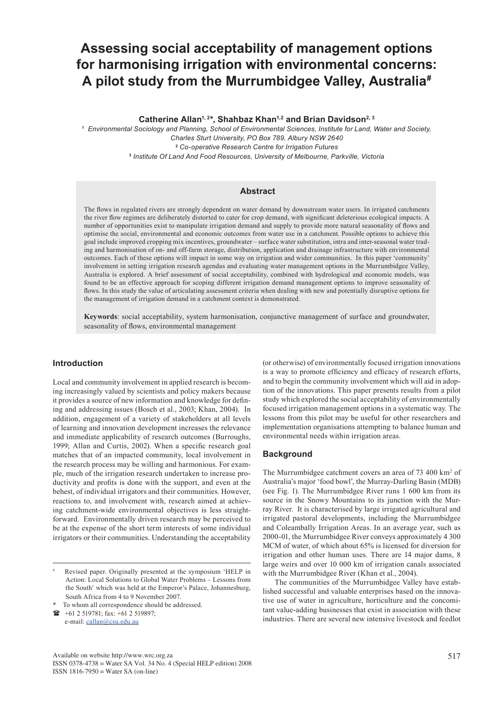# **Assessing social acceptability of management options for harmonising irrigation with environmental concerns: A pilot study from the Murrumbidgee Valley, Australia#**

Catherine Allan<sup>1, 2\*</sup>, Shahbaz Khan<sup>1,2</sup> and Brian Davidson<sup>2, 3</sup>

  *Environmental Sociology and Planning, School of Environmental Sciences, Institute for Land, Water and Society, Charles Sturt University, PO Box 789, Albury NSW 2640 Co-operative Research Centre for Irrigation Futures Institute Of Land And Food Resources, University of Melbourne, Parkville, Victoria*

## **Abstract**

The flows in regulated rivers are strongly dependent on water demand by downstream water users. In irrigated catchments the river flow regimes are deliberately distorted to cater for crop demand, with significant deleterious ecological impacts. A number of opportunities exist to manipulate irrigation demand and supply to provide more natural seasonality of flows and optimise the social, environmental and economic outcomes from water use in a catchment. Possible options to achieve this goal include improved cropping mix incentives, groundwater – surface water substitution, intra and inter-seasonal water trading and harmonisation of on- and off-farm storage, distribution, application and drainage infrastructure with environmental outcomes. Each of these options will impact in some way on irrigation and wider communities. In this paper 'community' involvement in setting irrigation research agendas and evaluating water management options in the Murrumbidgee Valley, Australia is explored. A brief assessment of social acceptability, combined with hydrological and economic models, was found to be an effective approach for scoping different irrigation demand management options to improve seasonality of flows. In this study the value of articulating assessment criteria when dealing with new and potentially disruptive options for the management of irrigation demand in a catchment context is demonstrated.

**keywords**: social acceptability, system harmonisation, conjunctive management of surface and groundwater, seasonality of flows, environmental management

## **Introduction**

Local and community involvement in applied research is becoming increasingly valued by scientists and policy makers because it provides a source of new information and knowledge for defining and addressing issues (Bosch et al*.*, 2003; Khan, 2004). In addition, engagement of a variety of stakeholders at all levels of learning and innovation development increases the relevance and immediate applicability of research outcomes (Burroughs, 1999; Allan and Curtis, 2002). When a specific research goal matches that of an impacted community, local involvement in the research process may be willing and harmonious. For example, much of the irrigation research undertaken to increase productivity and profits is done with the support, and even at the behest, of individual irrigators and their communities. However, reactions to, and involvement with, research aimed at achieving catchment-wide environmental objectives is less straightforward. Environmentally driven research may be perceived to be at the expense of the short term interests of some individual irrigators or their communities. Understanding the acceptability

To whom all correspondence should be addressed.

 +61 2 519781; fax: +61 2 519897; e-mail: callan@csu.edu.au

Available on website http://www.wrc.org.za ISSN 0378-4738 = Water SA Vol. 34 No. 4 (Special HELP edition) 2008 ISSN 1816-7950 = Water SA (on-line)

(or otherwise) of environmentally focused irrigation innovations is a way to promote efficiency and efficacy of research efforts, and to begin the community involvement which will aid in adoption of the innovations. This paper presents results from a pilot study which explored the social acceptability of environmentally focused irrigation management options in a systematic way. The lessons from this pilot may be useful for other researchers and implementation organisations attempting to balance human and environmental needs within irrigation areas.

## **Background**

The Murrumbidgee catchment covers an area of 73 400 km<sup>2</sup> of Australia's major 'food bowl', the Murray-Darling Basin (MDB) (see Fig. 1). The Murrumbidgee River runs 1 600 km from its source in the Snowy Mountains to its junction with the Murray River. It is characterised by large irrigated agricultural and irrigated pastoral developments, including the Murrumbidgee and Coleambally Irrigation Areas. In an average year, such as 2000-01, the Murrumbidgee River conveys approximately 4 300 MCM of water, of which about 65% is licensed for diversion for irrigation and other human uses. There are 14 major dams, 8 large weirs and over 10 000 km of irrigation canals associated with the Murrumbidgee River (Khan et al*.*, 2004).

The communities of the Murrumbidgee Valley have established successful and valuable enterprises based on the innovative use of water in agriculture, horticulture and the concomitant value-adding businesses that exist in association with these industries. There are several new intensive livestock and feedlot

Revised paper. Originally presented at the symposium 'HELP in Action: Local Solutions to Global Water Problems – Lessons from the South' which was held at the Emperor's Palace, Johannesburg, South Africa from 4 to 9 November 2007.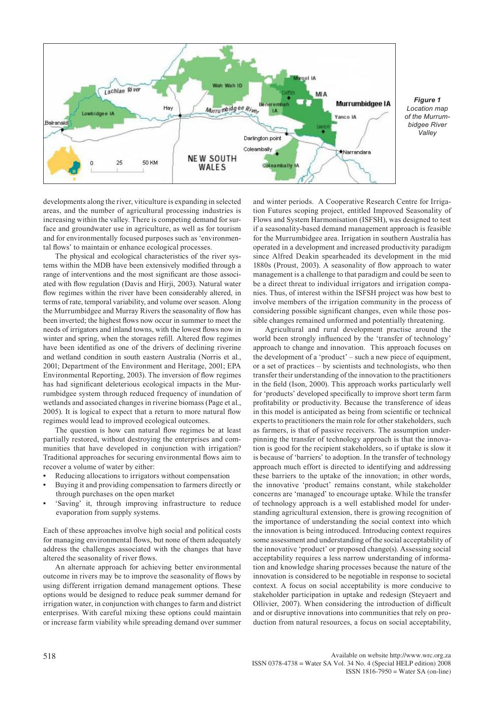

*Figure 1 Location map of the Murrumbidgee River Valley*

developments along the river, viticulture is expanding in selected areas, and the number of agricultural processing industries is increasing within the valley. There is competing demand for surface and groundwater use in agriculture, as well as for tourism and for environmentally focused purposes such as 'environmental flows' to maintain or enhance ecological processes.

The physical and ecological characteristics of the river systems within the MDB have been extensively modified through a range of interventions and the most significant are those associated with flow regulation (Davis and Hirji, 2003). Natural water flow regimes within the river have been considerably altered, in terms of rate, temporal variability, and volume over season. Along the Murrumbidgee and Murray Rivers the seasonality of flow has been inverted; the highest flows now occur in summer to meet the needs of irrigators and inland towns, with the lowest flows now in winter and spring, when the storages refill. Altered flow regimes have been identified as one of the drivers of declining riverine and wetland condition in south eastern Australia (Norris et al*.*, 2001; Department of the Environment and Heritage, 2001; EPA Environmental Reporting, 2003). The inversion of flow regimes has had significant deleterious ecological impacts in the Murrumbidgee system through reduced frequency of inundation of wetlands and associated changes in riverine biomass (Page et al., 2005). It is logical to expect that a return to more natural flow regimes would lead to improved ecological outcomes.

The question is how can natural flow regimes be at least partially restored, without destroying the enterprises and communities that have developed in conjunction with irrigation? Traditional approaches for securing environmental flows aim to recover a volume of water by either:

- **•** Reducing allocations to irrigators without compensation
- **•** Buying it and providing compensation to farmers directly or through purchases on the open market
- **•** 'Saving' it, through improving infrastructure to reduce evaporation from supply systems.

Each of these approaches involve high social and political costs for managing environmental flows, but none of them adequately address the challenges associated with the changes that have altered the seasonality of river flows.

An alternate approach for achieving better environmental outcome in rivers may be to improve the seasonality of flows by using different irrigation demand management options. These options would be designed to reduce peak summer demand for irrigation water, in conjunction with changes to farm and district enterprises. With careful mixing these options could maintain or increase farm viability while spreading demand over summer and winter periods. A Cooperative Research Centre for Irrigation Futures scoping project, entitled Improved Seasonality of Flows and System Harmonisation (ISFSH), was designed to test if a seasonality-based demand management approach is feasible for the Murrumbidgee area. Irrigation in southern Australia has operated in a development and increased productivity paradigm since Alfred Deakin spearheaded its development in the mid 1880s (Proust, 2003). A seasonality of flow approach to water management is a challenge to that paradigm and could be seen to be a direct threat to individual irrigators and irrigation companies. Thus, of interest within the ISFSH project was how best to involve members of the irrigation community in the process of considering possible significant changes, even while those possible changes remained unformed and potentially threatening.

Agricultural and rural development practise around the world been strongly influenced by the 'transfer of technology' approach to change and innovation. This approach focuses on the development of a 'product' – such a new piece of equipment, or a set of practices – by scientists and technologists, who then transfer their understanding of the innovation to the practitioners in the field (Ison, 2000). This approach works particularly well for 'products' developed specifically to improve short term farm profitability or productivity. Because the transference of ideas in this model is anticipated as being from scientific or technical experts to practitioners the main role for other stakeholders, such as farmers, is that of passive receivers. The assumption underpinning the transfer of technology approach is that the innovation is good for the recipient stakeholders, so if uptake is slow it is because of 'barriers' to adoption. In the transfer of technology approach much effort is directed to identifying and addressing these barriers to the uptake of the innovation; in other words, the innovative 'product' remains constant, while stakeholder concerns are 'managed' to encourage uptake. While the transfer of technology approach is a well established model for understanding agricultural extension, there is growing recognition of the importance of understanding the social context into which the innovation is being introduced. Introducing context requires some assessment and understanding of the social acceptability of the innovative 'product' or proposed change(s). Assessing social acceptability requires a less narrow understanding of information and knowledge sharing processes because the nature of the innovation is considered to be negotiable in response to societal context. A focus on social acceptability is more conducive to stakeholder participation in uptake and redesign (Steyaert and Ollivier, 2007). When considering the introduction of difficult and or disruptive innovations into communities that rely on production from natural resources, a focus on social acceptability,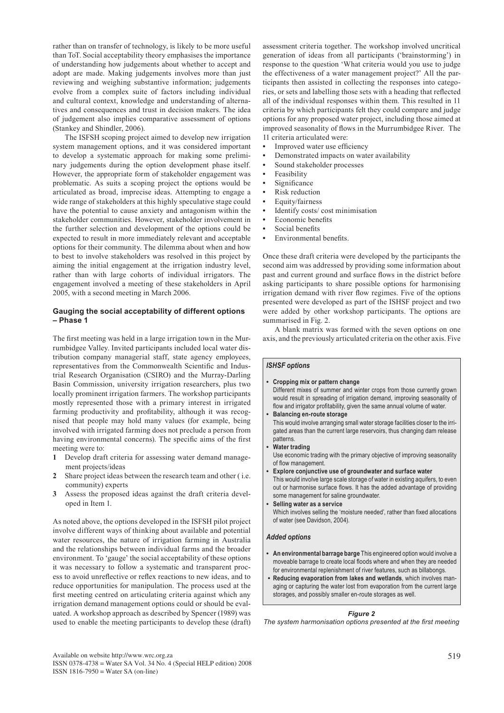rather than on transfer of technology, is likely to be more useful than ToT. Social acceptability theory emphasises the importance of understanding how judgements about whether to accept and adopt are made. Making judgements involves more than just reviewing and weighing substantive information; judgements evolve from a complex suite of factors including individual and cultural context, knowledge and understanding of alternatives and consequences and trust in decision makers. The idea of judgement also implies comparative assessment of options (Stankey and Shindler, 2006).

The ISFSH scoping project aimed to develop new irrigation system management options, and it was considered important to develop a systematic approach for making some preliminary judgements during the option development phase itself. However, the appropriate form of stakeholder engagement was problematic. As suits a scoping project the options would be articulated as broad, imprecise ideas. Attempting to engage a wide range of stakeholders at this highly speculative stage could have the potential to cause anxiety and antagonism within the stakeholder communities. However, stakeholder involvement in the further selection and development of the options could be expected to result in more immediately relevant and acceptable options for their community. The dilemma about when and how to best to involve stakeholders was resolved in this project by aiming the initial engagement at the irrigation industry level, rather than with large cohorts of individual irrigators. The engagement involved a meeting of these stakeholders in April 2005, with a second meeting in March 2006.

## **Gauging the social acceptability of different options – Phase 1**

The first meeting was held in a large irrigation town in the Murrumbidgee Valley. Invited participants included local water distribution company managerial staff, state agency employees, representatives from the Commonwealth Scientific and Industrial Research Organisation (CSIRO) and the Murray-Darling Basin Commission, university irrigation researchers, plus two locally prominent irrigation farmers. The workshop participants mostly represented those with a primary interest in irrigated farming productivity and profitability, although it was recognised that people may hold many values (for example, being involved with irrigated farming does not preclude a person from having environmental concerns). The specific aims of the first meeting were to:

- **1** Develop draft criteria for assessing water demand management projects/ideas
- **2** Share project ideas between the research team and other ( i.e. community) experts
- **3** Assess the proposed ideas against the draft criteria developed in Item 1.

As noted above, the options developed in the ISFSH pilot project involve different ways of thinking about available and potential water resources, the nature of irrigation farming in Australia and the relationships between individual farms and the broader environment. To 'gauge' the social acceptability of these options it was necessary to follow a systematic and transparent process to avoid unreflective or reflex reactions to new ideas, and to reduce opportunities for manipulation. The process used at the first meeting centred on articulating criteria against which any irrigation demand management options could or should be evaluated. A workshop approach as described by Spencer (1989) was used to enable the meeting participants to develop these (draft) assessment criteria together. The workshop involved uncritical generation of ideas from all participants ('brainstorming') in response to the question 'What criteria would you use to judge the effectiveness of a water management project?' All the participants then assisted in collecting the responses into categories, or sets and labelling those sets with a heading that reflected all of the individual responses within them. This resulted in 11 criteria by which participants felt they could compare and judge options for any proposed water project, including those aimed at improved seasonality of flows in the Murrumbidgee River. The 11 criteria articulated were:

- **•** Improved water use efficiency
- **•** Demonstrated impacts on water availability
- **•** Sound stakeholder processes
- **•** Feasibility
- **•** Significance
- **•** Risk reduction
- **•** Equity/fairness
- **•** Identify costs/ cost minimisation
- **•** Economic benefits
- **•** Social benefits
- **•** Environmental benefits.

Once these draft criteria were developed by the participants the second aim was addressed by providing some information about past and current ground and surface flows in the district before asking participants to share possible options for harmonising irrigation demand with river flow regimes. Five of the options presented were developed as part of the ISHSF project and two were added by other workshop participants. The options are summarised in Fig. 2.

A blank matrix was formed with the seven options on one axis, and the previously articulated criteria on the other axis. Five

## *ISHSF options*

- **• Cropping mix or pattern change** Different mixes of summer and winter crops from those currently grown would result in spreading of irrigation demand, improving seasonality of flow and irrigator profitability, given the same annual volume of water.
- **• Balancing en-route storage** This would involve arranging small water storage facilities closer to the irrigated areas than the current large reservoirs, thus changing dam release patterns.
- **• Water trading** Use economic trading with the primary objective of improving seasonality of flow management.
- **• Explore conjunctive use of groundwater and surface water** This would involve large scale storage of water in existing aquifers, to even out or harmonise surface flows. It has the added advantage of providing some management for saline groundwater.
- **• Selling water as a service** Which involves selling the 'moisture needed', rather than fixed allocations of water (see Davidson, 2004).

### *Added options*

- **• An environmental barrage barge** This engineered option would involve a moveable barrage to create local floods where and when they are needed for environmental replenishment of river features, such as billabongs.
- **• Reducing evaporation from lakes and wetlands**, which involves managing or capturing the water lost from evaporation from the current large storages, and possibly smaller en-route storages as well.

#### *Figure 2*

*The system harmonisation options presented at the first meeting*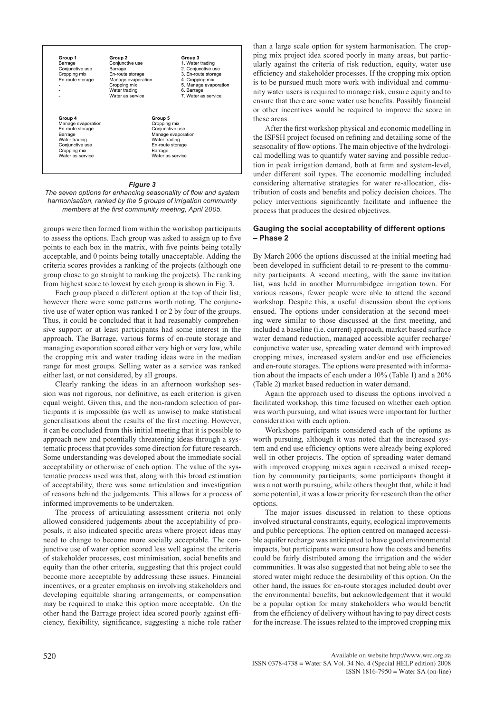**Group 1**  Barrage Conjunctive use Cropping mix En-route storage - - - **Group 2** Conjunctive use Barrage En-route storage Manage evaporation Cropping mix Water trading Water as service **Group 3** 1. Water trading 2. Conjunctive use 3. En-route storage 4. Cropping mix . Manage evaporation 6. Barrage 7. Water as service **Group 4**  Manage evaporation En-route storage Barrage Water trading Conjunctive use **Group 5** Cropping mix Conjunctive use Manage evaporation Water trading<br>En-route storage

### *Figure 3*

Barrage Water as service

Cropping mix Water as service

*The seven options for enhancing seasonality of flow and system harmonisation, ranked by the 5 groups of irrigation community members at the first community meeting, April 2005.* 

groups were then formed from within the workshop participants to assess the options. Each group was asked to assign up to five points to each box in the matrix, with five points being totally acceptable, and 0 points being totally unacceptable. Adding the criteria scores provides a ranking of the projects (although one group chose to go straight to ranking the projects). The ranking from highest score to lowest by each group is shown in Fig. 3.

Each group placed a different option at the top of their list; however there were some patterns worth noting. The conjunctive use of water option was ranked 1 or 2 by four of the groups. Thus, it could be concluded that it had reasonably comprehensive support or at least participants had some interest in the approach. The Barrage, various forms of en-route storage and managing evaporation scored either very high or very low, while the cropping mix and water trading ideas were in the median range for most groups. Selling water as a service was ranked either last, or not considered, by all groups.

Clearly ranking the ideas in an afternoon workshop session was not rigorous, nor definitive, as each criterion is given equal weight. Given this, and the non-random selection of participants it is impossible (as well as unwise) to make statistical generalisations about the results of the first meeting. However, it can be concluded from this initial meeting that it is possible to approach new and potentially threatening ideas through a systematic process that provides some direction for future research. Some understanding was developed about the immediate social acceptability or otherwise of each option. The value of the systematic process used was that, along with this broad estimation of acceptability, there was some articulation and investigation of reasons behind the judgements. This allows for a process of informed improvements to be undertaken.

The process of articulating assessment criteria not only allowed considered judgements about the acceptability of proposals, it also indicated specific areas where project ideas may need to change to become more socially acceptable. The conjunctive use of water option scored less well against the criteria of stakeholder processes, cost minimisation, social benefits and equity than the other criteria, suggesting that this project could become more acceptable by addressing these issues. Financial incentives, or a greater emphasis on involving stakeholders and developing equitable sharing arrangements, or compensation may be required to make this option more acceptable. On the other hand the Barrage project idea scored poorly against efficiency, flexibility, significance, suggesting a niche role rather

than a large scale option for system harmonisation. The cropping mix project idea scored poorly in many areas, but particularly against the criteria of risk reduction, equity, water use efficiency and stakeholder processes. If the cropping mix option is to be pursued much more work with individual and community water users is required to manage risk, ensure equity and to ensure that there are some water use benefits. Possibly financial or other incentives would be required to improve the score in these areas.

After the first workshop physical and economic modelling in the ISFSH project focused on refining and detailing some of the seasonality of flow options. The main objective of the hydrological modelling was to quantify water saving and possible reduction in peak irrigation demand, both at farm and system-level, under different soil types. The economic modelling included considering alternative strategies for water re-allocation, distribution of costs and benefits and policy decision choices. The policy interventions significantly facilitate and influence the process that produces the desired objectives.

## **Gauging the social acceptability of different options – Phase 2**

By March 2006 the options discussed at the initial meeting had been developed in sufficient detail to re-present to the community participants. A second meeting, with the same invitation list, was held in another Murrumbidgee irrigation town. For various reasons, fewer people were able to attend the second workshop. Despite this, a useful discussion about the options ensued. The options under consideration at the second meeting were similar to those discussed at the first meeting, and included a baseline (i.e. current) approach, market based surface water demand reduction, managed accessible aquifer recharge/ conjunctive water use, spreading water demand with improved cropping mixes, increased system and/or end use efficiencies and en-route storages. The options were presented with information about the impacts of each under a 10% (Table 1) and a 20% (Table 2) market based reduction in water demand.

Again the approach used to discuss the options involved a facilitated workshop, this time focused on whether each option was worth pursuing, and what issues were important for further consideration with each option.

Workshops participants considered each of the options as worth pursuing, although it was noted that the increased system and end use efficiency options were already being explored well in other projects. The option of spreading water demand with improved cropping mixes again received a mixed reception by community participants; some participants thought it was a not worth pursuing, while others thought that, while it had some potential, it was a lower priority for research than the other options.

The major issues discussed in relation to these options involved structural constraints, equity, ecological improvements and public perceptions. The option centred on managed accessible aquifer recharge was anticipated to have good environmental impacts, but participants were unsure how the costs and benefits could be fairly distributed among the irrigation and the wider communities. It was also suggested that not being able to see the stored water might reduce the desirability of this option. On the other hand, the issues for en-route storages included doubt over the environmental benefits, but acknowledgement that it would be a popular option for many stakeholders who would benefit from the efficiency of delivery without having to pay direct costs for the increase. The issues related to the improved cropping mix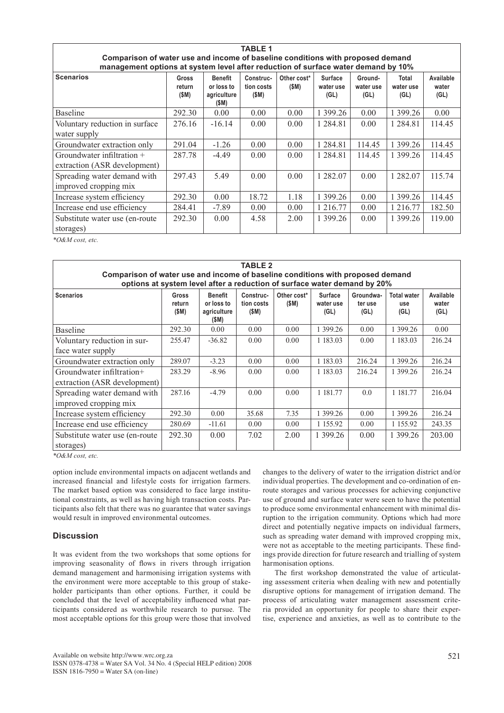| <b>TABLE 1</b>                                                                                                                                                      |                                |                                                     |                                 |                     |                                     |                              |                            |                            |  |  |  |
|---------------------------------------------------------------------------------------------------------------------------------------------------------------------|--------------------------------|-----------------------------------------------------|---------------------------------|---------------------|-------------------------------------|------------------------------|----------------------------|----------------------------|--|--|--|
| Comparison of water use and income of baseline conditions with proposed demand<br>management options at system level after reduction of surface water demand by 10% |                                |                                                     |                                 |                     |                                     |                              |                            |                            |  |  |  |
| <b>Scenarios</b>                                                                                                                                                    | <b>Gross</b><br>return<br>(SM) | <b>Benefit</b><br>or loss to<br>agriculture<br>(SM) | Construc-<br>tion costs<br>(SM) | Other cost*<br>(SM) | <b>Surface</b><br>water use<br>(GL) | Ground-<br>water use<br>(GL) | Total<br>water use<br>(GL) | Available<br>water<br>(GL) |  |  |  |
| <b>Baseline</b>                                                                                                                                                     | 292.30                         | 0.00                                                | 0.00                            | 0.00                | 1 399.26                            | 0.00                         | 1 399.26                   | 0.00                       |  |  |  |
| Voluntary reduction in surface<br>water supply                                                                                                                      | 276.16                         | $-16.14$                                            | 0.00                            | $0.00^{\circ}$      | 1 2 8 4 . 8 1                       | 0.00                         | 1 2 8 4 8 1                | 114.45                     |  |  |  |
| Groundwater extraction only                                                                                                                                         | 291.04                         | $-1.26$                                             | 0.00                            | 0.00                | 1 2 8 4 . 8 1                       | 114.45                       | 1 399.26                   | 114.45                     |  |  |  |
| Groundwater infiltration $+$<br>extraction (ASR development)                                                                                                        | 287.78                         | $-4.49$                                             | 0.00                            | 0.00                | 1 2 8 4 8 1                         | 114.45                       | 1 399.26                   | 114.45                     |  |  |  |
| Spreading water demand with<br>improved cropping mix                                                                                                                | 297.43                         | 5.49                                                | 0.00                            | 0.00                | 1 2 8 2 0 7                         | 0.00                         | 1 2 8 2 0 7                | 115.74                     |  |  |  |
| Increase system efficiency                                                                                                                                          | 292.30                         | 0.00                                                | 18.72                           | 1.18                | 1 399.26                            | 0.00                         | 1 399.26                   | 114.45                     |  |  |  |
| Increase end use efficiency                                                                                                                                         | 284.41                         | $-7.89$                                             | 0.00                            | 0.00                | 1 216.77                            | 0.00                         | 1 2 1 6 .77                | 182.50                     |  |  |  |
| Substitute water use (en-route)<br>storages)                                                                                                                        | 292.30                         | 0.00                                                | 4.58                            | 2.00                | 1 399.26                            | 0.00                         | 1 399.26                   | 119.00                     |  |  |  |

*\*O&M cost, etc.*

| <b>TABLE 2</b>                                                                                                                                             |                |                                   |                    |      |                   |                 |             |               |  |  |  |  |
|------------------------------------------------------------------------------------------------------------------------------------------------------------|----------------|-----------------------------------|--------------------|------|-------------------|-----------------|-------------|---------------|--|--|--|--|
| Comparison of water use and income of baseline conditions with proposed demand<br>options at system level after a reduction of surface water demand by 20% |                |                                   |                    |      |                   |                 |             |               |  |  |  |  |
| <b>Benefit</b><br>Other cost*<br><b>Total water</b><br><b>Gross</b><br><b>Surface</b><br>Groundwa-<br>Available<br>Construc-<br><b>Scenarios</b>           |                |                                   |                    |      |                   |                 |             |               |  |  |  |  |
|                                                                                                                                                            | return<br>(SM) | or loss to<br>agriculture<br>(SM) | tion costs<br>(SM) | (SM) | water use<br>(GL) | ter use<br>(GL) | use<br>(GL) | water<br>(GL) |  |  |  |  |
| <b>Baseline</b>                                                                                                                                            | 292.30         | 0.00                              | 0.00               | 0.00 | 1 399.26          | 0.00            | 1 399.26    | 0.00          |  |  |  |  |
| Voluntary reduction in sur-                                                                                                                                | 255.47         | $-36.82$                          | 0.00               | 0.00 | 1 183.03          | 0.00            | 1 183.03    | 216.24        |  |  |  |  |
| face water supply                                                                                                                                          |                |                                   |                    |      |                   |                 |             |               |  |  |  |  |
| Groundwater extraction only                                                                                                                                | 289.07         | $-3.23$                           | 0.00               | 0.00 | 1 183.03          | 216.24          | 1 399.26    | 216.24        |  |  |  |  |
| Groundwater infiltration+                                                                                                                                  | 283.29         | $-8.96$                           | 0.00               | 0.00 | 1 183.03          | 216.24          | 1 399.26    | 216.24        |  |  |  |  |
| extraction (ASR development)                                                                                                                               |                |                                   |                    |      |                   |                 |             |               |  |  |  |  |
| Spreading water demand with                                                                                                                                | 287.16         | $-4.79$                           | 0.00               | 0.00 | 1 181.77          | 0.0             | 1 181.77    | 216.04        |  |  |  |  |
| improved cropping mix                                                                                                                                      |                |                                   |                    |      |                   |                 |             |               |  |  |  |  |
| Increase system efficiency                                                                                                                                 | 292.30         | 0.00                              | 35.68              | 7.35 | 1 399.26          | 0.00            | 1 399.26    | 216.24        |  |  |  |  |
| Increase end use efficiency                                                                                                                                | 280.69         | $-11.61$                          | 0.00               | 0.00 | 1 1 5 5 9 2       | 0.00            | 1 1 5 5 9 2 | 243.35        |  |  |  |  |
| Substitute water use (en-route)                                                                                                                            | 292.30         | 0.00                              | 7.02               | 2.00 | 1 399.26          | 0.00            | 1 399.26    | 203.00        |  |  |  |  |
| storages)                                                                                                                                                  |                |                                   |                    |      |                   |                 |             |               |  |  |  |  |

*\*O&M cost, etc.*

option include environmental impacts on adjacent wetlands and increased financial and lifestyle costs for irrigation farmers. The market based option was considered to face large institutional constraints, as well as having high transaction costs. Participants also felt that there was no guarantee that water savings would result in improved environmental outcomes.

## **Discussion**

It was evident from the two workshops that some options for improving seasonality of flows in rivers through irrigation demand management and harmonising irrigation systems with the environment were more acceptable to this group of stakeholder participants than other options. Further, it could be concluded that the level of acceptability influenced what participants considered as worthwhile research to pursue. The most acceptable options for this group were those that involved changes to the delivery of water to the irrigation district and/or individual properties. The development and co-ordination of enroute storages and various processes for achieving conjunctive use of ground and surface water were seen to have the potential to produce some environmental enhancement with minimal disruption to the irrigation community. Options which had more direct and potentially negative impacts on individual farmers, such as spreading water demand with improved cropping mix, were not as acceptable to the meeting participants. These findings provide direction for future research and trialling of system harmonisation options.

The first workshop demonstrated the value of articulating assessment criteria when dealing with new and potentially disruptive options for management of irrigation demand. The process of articulating water management assessment criteria provided an opportunity for people to share their expertise, experience and anxieties, as well as to contribute to the